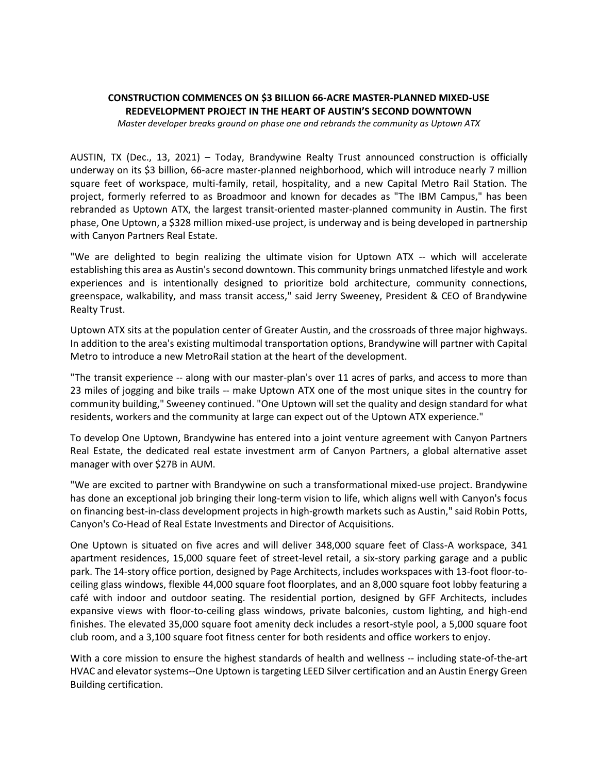## **CONSTRUCTION COMMENCES ON \$3 BILLION 66-ACRE MASTER-PLANNED MIXED-USE REDEVELOPMENT PROJECT IN THE HEART OF AUSTIN'S SECOND DOWNTOWN**

*Master developer breaks ground on phase one and rebrands the community as Uptown ATX* 

AUSTIN, TX (Dec., 13, 2021) – Today, Brandywine Realty Trust announced construction is officially underway on its \$3 billion, 66-acre master-planned neighborhood, which will introduce nearly 7 million square feet of workspace, multi-family, retail, hospitality, and a new Capital Metro Rail Station. The project, formerly referred to as Broadmoor and known for decades as "The IBM Campus," has been rebranded as Uptown ATX, the largest transit-oriented master-planned community in Austin. The first phase, One Uptown, a \$328 million mixed-use project, is underway and is being developed in partnership with Canyon Partners Real Estate.

"We are delighted to begin realizing the ultimate vision for Uptown ATX -- which will accelerate establishing this area as Austin's second downtown. This community brings unmatched lifestyle and work experiences and is intentionally designed to prioritize bold architecture, community connections, greenspace, walkability, and mass transit access," said Jerry Sweeney, President & CEO of Brandywine Realty Trust.

Uptown ATX sits at the population center of Greater Austin, and the crossroads of three major highways. In addition to the area's existing multimodal transportation options, Brandywine will partner with Capital Metro to introduce a new MetroRail station at the heart of the development.

"The transit experience -- along with our master-plan's over 11 acres of parks, and access to more than 23 miles of jogging and bike trails -- make Uptown ATX one of the most unique sites in the country for community building," Sweeney continued. "One Uptown will set the quality and design standard for what residents, workers and the community at large can expect out of the Uptown ATX experience."

To develop One Uptown, Brandywine has entered into a joint venture agreement with Canyon Partners Real Estate, the dedicated real estate investment arm of Canyon Partners, a global alternative asset manager with over \$27B in AUM.

"We are excited to partner with Brandywine on such a transformational mixed-use project. Brandywine has done an exceptional job bringing their long-term vision to life, which aligns well with Canyon's focus on financing best-in-class development projects in high-growth markets such as Austin," said Robin Potts, Canyon's Co-Head of Real Estate Investments and Director of Acquisitions.

One Uptown is situated on five acres and will deliver 348,000 square feet of Class-A workspace, 341 apartment residences, 15,000 square feet of street-level retail, a six-story parking garage and a public park. The 14-story office portion, designed by Page Architects, includes workspaces with 13-foot floor-toceiling glass windows, flexible 44,000 square foot floorplates, and an 8,000 square foot lobby featuring a café with indoor and outdoor seating. The residential portion, designed by GFF Architects, includes expansive views with floor-to-ceiling glass windows, private balconies, custom lighting, and high-end finishes. The elevated 35,000 square foot amenity deck includes a resort-style pool, a 5,000 square foot club room, and a 3,100 square foot fitness center for both residents and office workers to enjoy.

With a core mission to ensure the highest standards of health and wellness -- including state-of-the-art HVAC and elevator systems--One Uptown is targeting LEED Silver certification and an Austin Energy Green Building certification.